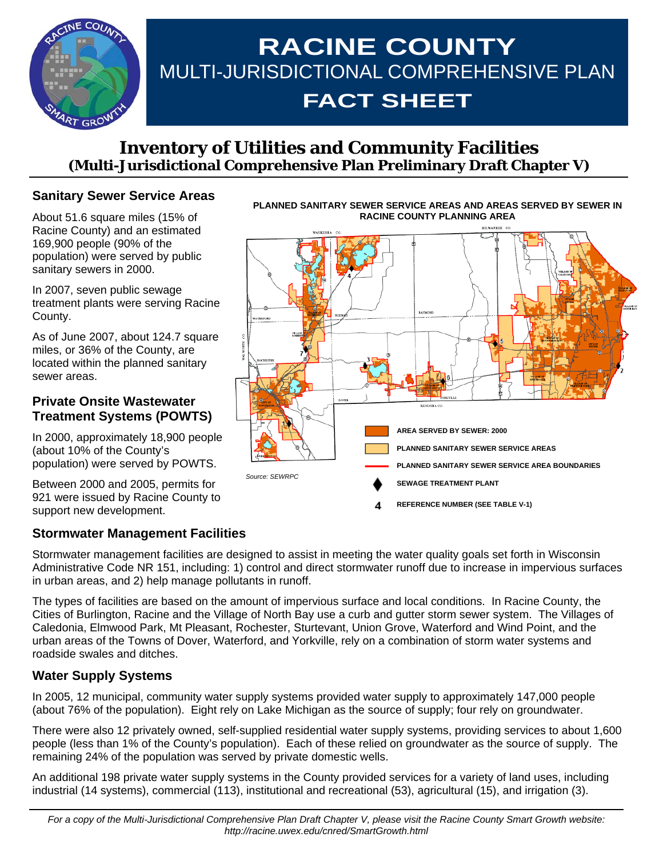

# **RACINE COUNTY**  MULTI-JURISDICTIONAL COMPREHENSIVE PLAN **FACT SHEET**

# **Inventory of Utilities and Community Facilities (Multi-Jurisdictional Comprehensive Plan Preliminary Draft Chapter V)**

# **Sanitary Sewer Service Areas**

About 51.6 square miles (15% of Racine County) and an estimated 169,900 people (90% of the population) were served by public sanitary sewers in 2000.

In 2007, seven public sewage treatment plants were serving Racine County.

As of June 2007, about 124.7 square miles, or 36% of the County, are located within the planned sanitary sewer areas.

#### **Private Onsite Wastewater Treatment Systems (POWTS)**

In 2000, approximately 18,900 people (about 10% of the County's population) were served by POWTS.

Between 2000 and 2005, permits for 921 were issued by Racine County to support new development.

# **Stormwater Management Facilities**

Stormwater management facilities are designed to assist in meeting the water quality goals set forth in Wisconsin Administrative Code NR 151, including: 1) control and direct stormwater runoff due to increase in impervious surfaces in urban areas, and 2) help manage pollutants in runoff.

The types of facilities are based on the amount of impervious surface and local conditions. In Racine County, the Cities of Burlington, Racine and the Village of North Bay use a curb and gutter storm sewer system. The Villages of Caledonia, Elmwood Park, Mt Pleasant, Rochester, Sturtevant, Union Grove, Waterford and Wind Point, and the urban areas of the Towns of Dover, Waterford, and Yorkville, rely on a combination of storm water systems and roadside swales and ditches.

#### **Water Supply Systems**

In 2005, 12 municipal, community water supply systems provided water supply to approximately 147,000 people (about 76% of the population). Eight rely on Lake Michigan as the source of supply; four rely on groundwater.

There were also 12 privately owned, self-supplied residential water supply systems, providing services to about 1,600 people (less than 1% of the County's population). Each of these relied on groundwater as the source of supply. The remaining 24% of the population was served by private domestic wells.

An additional 198 private water supply systems in the County provided services for a variety of land uses, including industrial (14 systems), commercial (113), institutional and recreational (53), agricultural (15), and irrigation (3).



**PLANNED SANITARY SEWER SERVICE AREAS AND AREAS SERVED BY SEWER IN**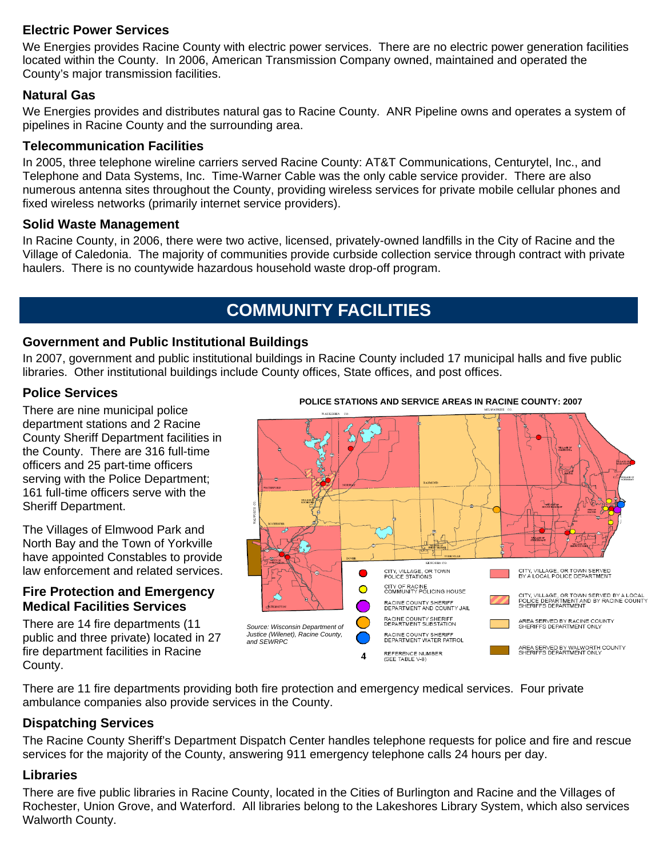## **Electric Power Services**

We Energies provides Racine County with electric power services. There are no electric power generation facilities located within the County. In 2006, American Transmission Company owned, maintained and operated the County's major transmission facilities.

## **Natural Gas**

We Energies provides and distributes natural gas to Racine County. ANR Pipeline owns and operates a system of pipelines in Racine County and the surrounding area.

#### **Telecommunication Facilities**

In 2005, three telephone wireline carriers served Racine County: AT&T Communications, Centurytel, Inc., and Telephone and Data Systems, Inc. Time-Warner Cable was the only cable service provider. There are also numerous antenna sites throughout the County, providing wireless services for private mobile cellular phones and fixed wireless networks (primarily internet service providers).

#### **Solid Waste Management**

In Racine County, in 2006, there were two active, licensed, privately-owned landfills in the City of Racine and the Village of Caledonia. The majority of communities provide curbside collection service through contract with private haulers. There is no countywide hazardous household waste drop-off program.

# **COMMUNITY FACILITIES**

#### **Government and Public Institutional Buildings**

In 2007, government and public institutional buildings in Racine County included 17 municipal halls and five public libraries. Other institutional buildings include County offices, State offices, and post offices.

#### **Police Services**

There are nine municipal police department stations and 2 Racine County Sheriff Department facilities in the County. There are 316 full-time officers and 25 part-time officers serving with the Police Department; 161 full-time officers serve with the Sheriff Department.

The Villages of Elmwood Park and North Bay and the Town of Yorkville have appointed Constables to provide law enforcement and related services.

#### **Fire Protection and Emergency Medical Facilities Services**

There are 14 fire departments (11 public and three private) located in 27 fire department facilities in Racine County.

#### **POLICE STATIONS AND SERVICE AREAS IN RACINE COUNTY: 2007**



There are 11 fire departments providing both fire protection and emergency medical services. Four private ambulance companies also provide services in the County.

#### **Dispatching Services**

The Racine County Sheriff's Department Dispatch Center handles telephone requests for police and fire and rescue services for the majority of the County, answering 911 emergency telephone calls 24 hours per day.

#### **Libraries**

There are five public libraries in Racine County, located in the Cities of Burlington and Racine and the Villages of Rochester, Union Grove, and Waterford. All libraries belong to the Lakeshores Library System, which also services Walworth County.